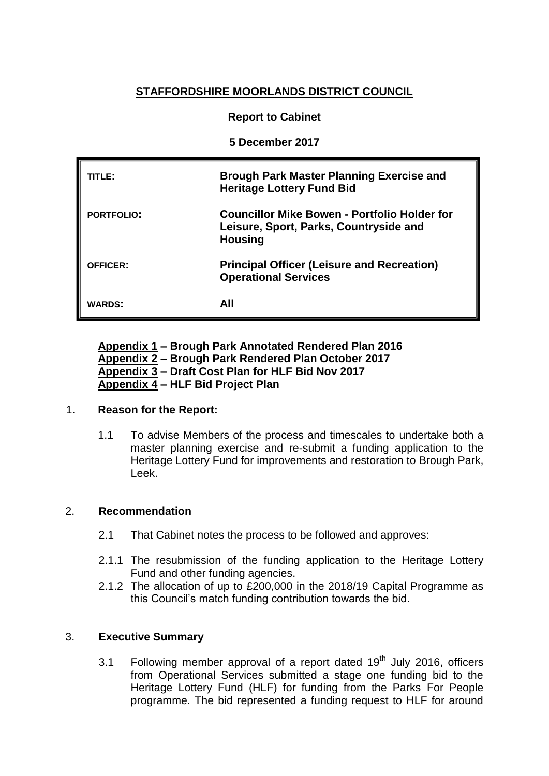# **STAFFORDSHIRE MOORLANDS DISTRICT COUNCIL**

# **Report to Cabinet**

**5 December 2017**

| TITLE:            | <b>Brough Park Master Planning Exercise and</b><br><b>Heritage Lottery Fund Bid</b>                             |
|-------------------|-----------------------------------------------------------------------------------------------------------------|
| <b>PORTFOLIO:</b> | <b>Councillor Mike Bowen - Portfolio Holder for</b><br>Leisure, Sport, Parks, Countryside and<br><b>Housing</b> |
| <b>OFFICER:</b>   | <b>Principal Officer (Leisure and Recreation)</b><br><b>Operational Services</b>                                |
| <b>WARDS:</b>     | AII                                                                                                             |

**Appendix 1 – Brough Park Annotated Rendered Plan 2016 Appendix 2 – Brough Park Rendered Plan October 2017 Appendix 3 – Draft Cost Plan for HLF Bid Nov 2017 Appendix 4 – HLF Bid Project Plan**

### 1. **Reason for the Report:**

1.1 To advise Members of the process and timescales to undertake both a master planning exercise and re-submit a funding application to the Heritage Lottery Fund for improvements and restoration to Brough Park, Leek.

## 2. **Recommendation**

- 2.1 That Cabinet notes the process to be followed and approves:
- 2.1.1 The resubmission of the funding application to the Heritage Lottery Fund and other funding agencies.
- 2.1.2 The allocation of up to £200,000 in the 2018/19 Capital Programme as this Council's match funding contribution towards the bid.

### 3. **Executive Summary**

3.1 Following member approval of a report dated  $19<sup>th</sup>$  July 2016, officers from Operational Services submitted a stage one funding bid to the Heritage Lottery Fund (HLF) for funding from the Parks For People programme. The bid represented a funding request to HLF for around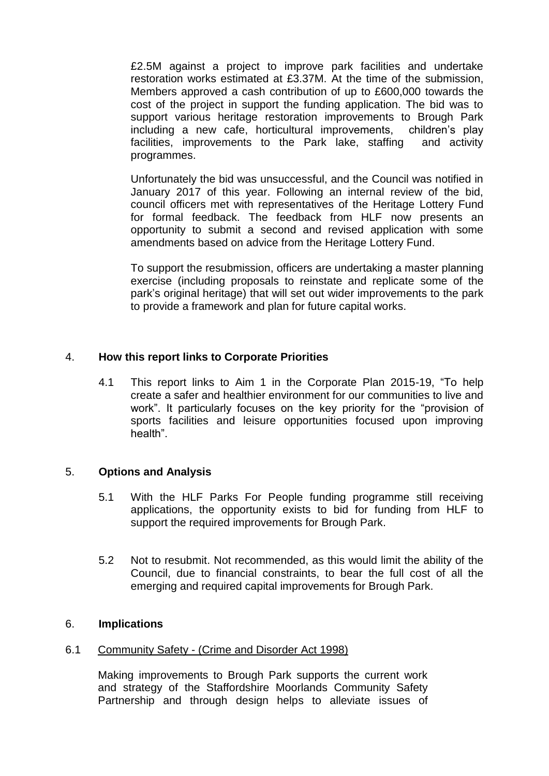£2.5M against a project to improve park facilities and undertake restoration works estimated at £3.37M. At the time of the submission, Members approved a cash contribution of up to £600,000 towards the cost of the project in support the funding application. The bid was to support various heritage restoration improvements to Brough Park including a new cafe, horticultural improvements, children's play facilities, improvements to the Park lake, staffing and activity programmes.

Unfortunately the bid was unsuccessful, and the Council was notified in January 2017 of this year. Following an internal review of the bid, council officers met with representatives of the Heritage Lottery Fund for formal feedback. The feedback from HLF now presents an opportunity to submit a second and revised application with some amendments based on advice from the Heritage Lottery Fund.

To support the resubmission, officers are undertaking a master planning exercise (including proposals to reinstate and replicate some of the park's original heritage) that will set out wider improvements to the park to provide a framework and plan for future capital works.

# 4. **How this report links to Corporate Priorities**

4.1 This report links to Aim 1 in the Corporate Plan 2015-19, "To help create a safer and healthier environment for our communities to live and work". It particularly focuses on the key priority for the "provision of sports facilities and leisure opportunities focused upon improving health".

### 5. **Options and Analysis**

- 5.1 With the HLF Parks For People funding programme still receiving applications, the opportunity exists to bid for funding from HLF to support the required improvements for Brough Park.
- 5.2 Not to resubmit. Not recommended, as this would limit the ability of the Council, due to financial constraints, to bear the full cost of all the emerging and required capital improvements for Brough Park.

## 6. **Implications**

### 6.1 Community Safety - (Crime and Disorder Act 1998)

Making improvements to Brough Park supports the current work and strategy of the Staffordshire Moorlands Community Safety Partnership and through design helps to alleviate issues of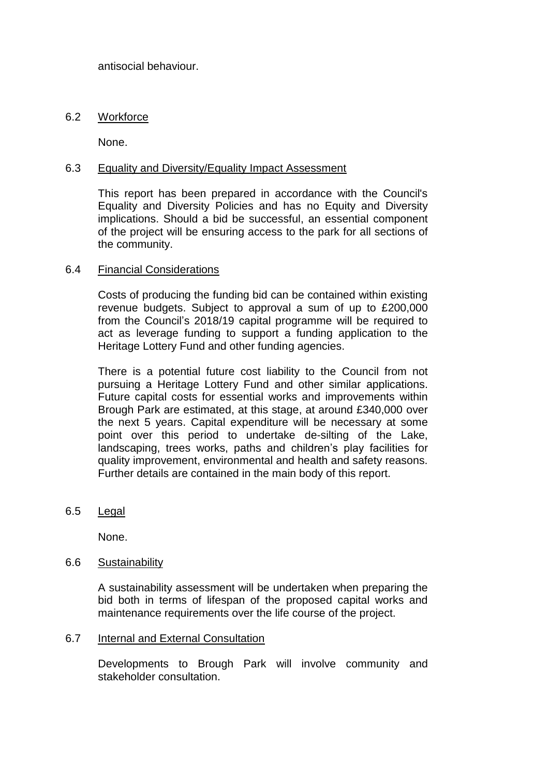antisocial behaviour.

# 6.2 Workforce

None.

## 6.3 Equality and Diversity/Equality Impact Assessment

This report has been prepared in accordance with the Council's Equality and Diversity Policies and has no Equity and Diversity implications. Should a bid be successful, an essential component of the project will be ensuring access to the park for all sections of the community.

## 6.4 Financial Considerations

Costs of producing the funding bid can be contained within existing revenue budgets. Subject to approval a sum of up to £200,000 from the Council's 2018/19 capital programme will be required to act as leverage funding to support a funding application to the Heritage Lottery Fund and other funding agencies.

There is a potential future cost liability to the Council from not pursuing a Heritage Lottery Fund and other similar applications. Future capital costs for essential works and improvements within Brough Park are estimated, at this stage, at around £340,000 over the next 5 years. Capital expenditure will be necessary at some point over this period to undertake de-silting of the Lake, landscaping, trees works, paths and children's play facilities for quality improvement, environmental and health and safety reasons. Further details are contained in the main body of this report.

6.5 Legal

None.

### 6.6 Sustainability

A sustainability assessment will be undertaken when preparing the bid both in terms of lifespan of the proposed capital works and maintenance requirements over the life course of the project.

### 6.7 Internal and External Consultation

Developments to Brough Park will involve community and stakeholder consultation.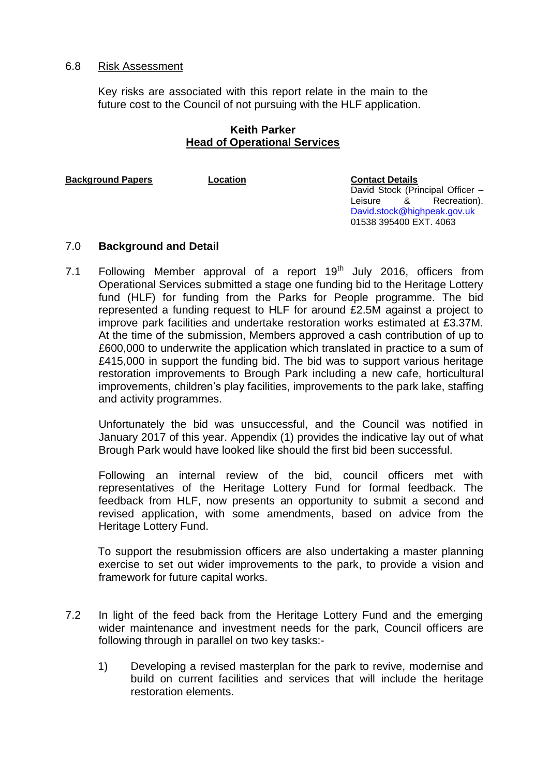## 6.8 Risk Assessment

Key risks are associated with this report relate in the main to the future cost to the Council of not pursuing with the HLF application.

## **Keith Parker Head of Operational Services**

**Background Papers Location Contact Details** 

David Stock (Principal Officer -Leisure & Recreation). [David.stock@highpeak.gov.uk](mailto:David.stock@highpeak.gov.uk) 01538 395400 EXT. 4063

# 7.0 **Background and Detail**

7.1 Following Member approval of a report  $19<sup>th</sup>$  July 2016, officers from Operational Services submitted a stage one funding bid to the Heritage Lottery fund (HLF) for funding from the Parks for People programme. The bid represented a funding request to HLF for around £2.5M against a project to improve park facilities and undertake restoration works estimated at £3.37M. At the time of the submission, Members approved a cash contribution of up to £600,000 to underwrite the application which translated in practice to a sum of £415,000 in support the funding bid. The bid was to support various heritage restoration improvements to Brough Park including a new cafe, horticultural improvements, children's play facilities, improvements to the park lake, staffing and activity programmes.

Unfortunately the bid was unsuccessful, and the Council was notified in January 2017 of this year. Appendix (1) provides the indicative lay out of what Brough Park would have looked like should the first bid been successful.

Following an internal review of the bid, council officers met with representatives of the Heritage Lottery Fund for formal feedback. The feedback from HLF, now presents an opportunity to submit a second and revised application, with some amendments, based on advice from the Heritage Lottery Fund.

To support the resubmission officers are also undertaking a master planning exercise to set out wider improvements to the park, to provide a vision and framework for future capital works.

- 7.2 In light of the feed back from the Heritage Lottery Fund and the emerging wider maintenance and investment needs for the park, Council officers are following through in parallel on two key tasks:-
	- 1) Developing a revised masterplan for the park to revive, modernise and build on current facilities and services that will include the heritage restoration elements.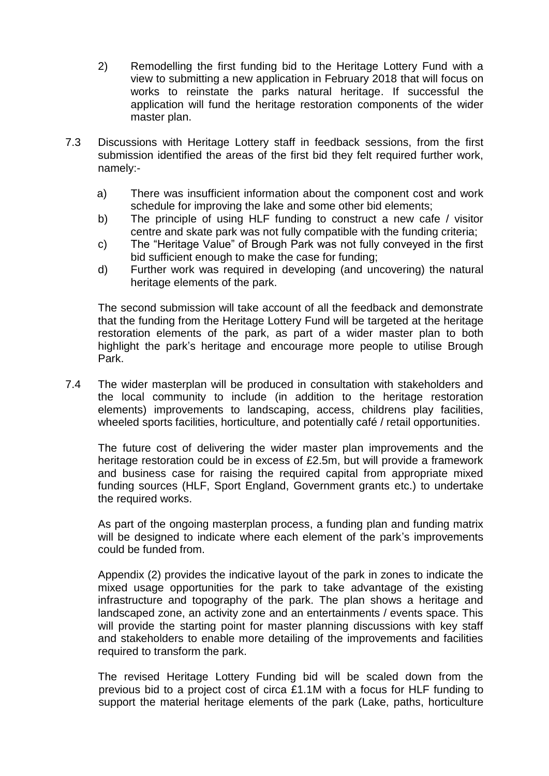- 2) Remodelling the first funding bid to the Heritage Lottery Fund with a view to submitting a new application in February 2018 that will focus on works to reinstate the parks natural heritage. If successful the application will fund the heritage restoration components of the wider master plan.
- 7.3 Discussions with Heritage Lottery staff in feedback sessions, from the first submission identified the areas of the first bid they felt required further work, namely:
	- a) There was insufficient information about the component cost and work schedule for improving the lake and some other bid elements;
	- b) The principle of using HLF funding to construct a new cafe / visitor centre and skate park was not fully compatible with the funding criteria;
	- c) The "Heritage Value" of Brough Park was not fully conveyed in the first bid sufficient enough to make the case for funding;
	- d) Further work was required in developing (and uncovering) the natural heritage elements of the park.

The second submission will take account of all the feedback and demonstrate that the funding from the Heritage Lottery Fund will be targeted at the heritage restoration elements of the park, as part of a wider master plan to both highlight the park's heritage and encourage more people to utilise Brough Park.

7.4 The wider masterplan will be produced in consultation with stakeholders and the local community to include (in addition to the heritage restoration elements) improvements to landscaping, access, childrens play facilities, wheeled sports facilities, horticulture, and potentially café / retail opportunities.

The future cost of delivering the wider master plan improvements and the heritage restoration could be in excess of £2.5m, but will provide a framework and business case for raising the required capital from appropriate mixed funding sources (HLF, Sport England, Government grants etc.) to undertake the required works.

As part of the ongoing masterplan process, a funding plan and funding matrix will be designed to indicate where each element of the park's improvements could be funded from.

Appendix (2) provides the indicative layout of the park in zones to indicate the mixed usage opportunities for the park to take advantage of the existing infrastructure and topography of the park. The plan shows a heritage and landscaped zone, an activity zone and an entertainments / events space. This will provide the starting point for master planning discussions with key staff and stakeholders to enable more detailing of the improvements and facilities required to transform the park.

The revised Heritage Lottery Funding bid will be scaled down from the previous bid to a project cost of circa £1.1M with a focus for HLF funding to support the material heritage elements of the park (Lake, paths, horticulture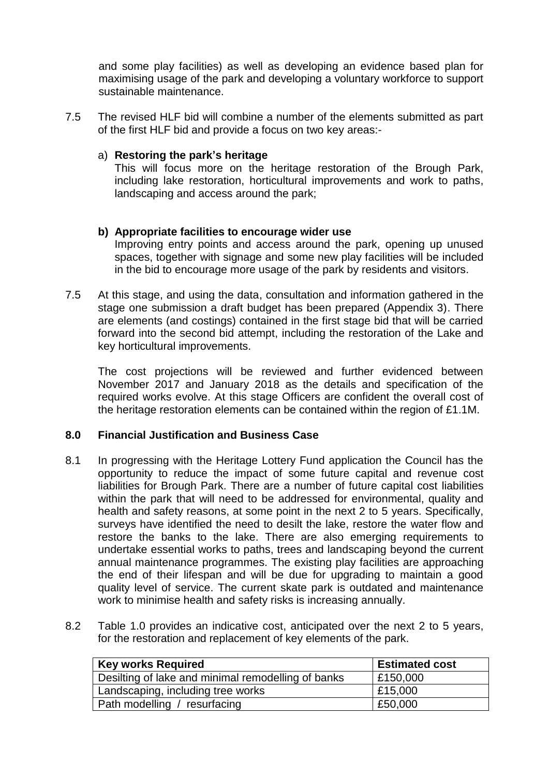and some play facilities) as well as developing an evidence based plan for maximising usage of the park and developing a voluntary workforce to support sustainable maintenance.

7.5 The revised HLF bid will combine a number of the elements submitted as part of the first HLF bid and provide a focus on two key areas:-

## a) **Restoring the park's heritage**

This will focus more on the heritage restoration of the Brough Park, including lake restoration, horticultural improvements and work to paths, landscaping and access around the park;

## **b) Appropriate facilities to encourage wider use**

Improving entry points and access around the park, opening up unused spaces, together with signage and some new play facilities will be included in the bid to encourage more usage of the park by residents and visitors.

7.5 At this stage, and using the data, consultation and information gathered in the stage one submission a draft budget has been prepared (Appendix 3). There are elements (and costings) contained in the first stage bid that will be carried forward into the second bid attempt, including the restoration of the Lake and key horticultural improvements.

The cost projections will be reviewed and further evidenced between November 2017 and January 2018 as the details and specification of the required works evolve. At this stage Officers are confident the overall cost of the heritage restoration elements can be contained within the region of £1.1M.

### **8.0 Financial Justification and Business Case**

- 8.1 In progressing with the Heritage Lottery Fund application the Council has the opportunity to reduce the impact of some future capital and revenue cost liabilities for Brough Park. There are a number of future capital cost liabilities within the park that will need to be addressed for environmental, quality and health and safety reasons, at some point in the next 2 to 5 years. Specifically, surveys have identified the need to desilt the lake, restore the water flow and restore the banks to the lake. There are also emerging requirements to undertake essential works to paths, trees and landscaping beyond the current annual maintenance programmes. The existing play facilities are approaching the end of their lifespan and will be due for upgrading to maintain a good quality level of service. The current skate park is outdated and maintenance work to minimise health and safety risks is increasing annually.
- 8.2 Table 1.0 provides an indicative cost, anticipated over the next 2 to 5 years, for the restoration and replacement of key elements of the park.

| <b>Key works Required</b>                          | <b>Estimated cost</b> |
|----------------------------------------------------|-----------------------|
| Desilting of lake and minimal remodelling of banks | £150,000              |
| Landscaping, including tree works                  | £15,000               |
| Path modelling / resurfacing                       | £50,000               |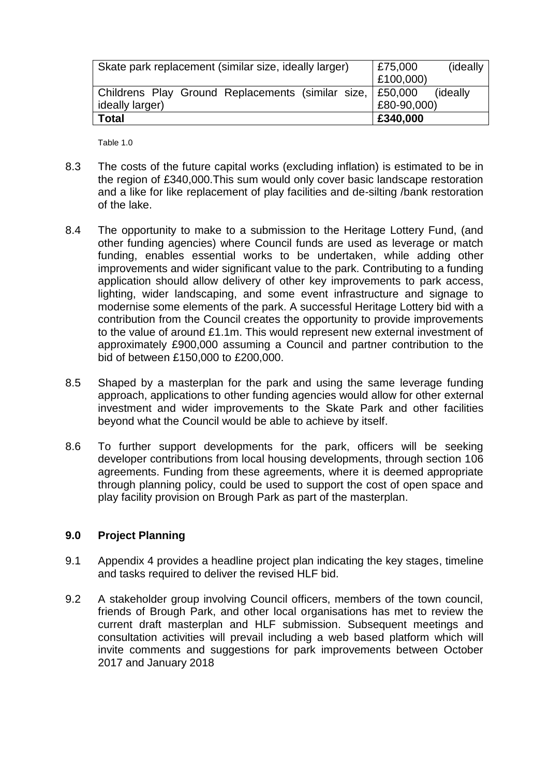| Skate park replacement (similar size, ideally larger)     | £75,000     | (ideally)        |
|-----------------------------------------------------------|-------------|------------------|
|                                                           | £100,000)   |                  |
| Childrens Play Ground Replacements (similar size, E50,000 |             | <i>(ideally)</i> |
| ideally larger)                                           | £80-90,000) |                  |
| <b>Total</b>                                              | £340,000    |                  |

Table 1.0

- 8.3 The costs of the future capital works (excluding inflation) is estimated to be in the region of £340,000.This sum would only cover basic landscape restoration and a like for like replacement of play facilities and de-silting /bank restoration of the lake.
- 8.4 The opportunity to make to a submission to the Heritage Lottery Fund, (and other funding agencies) where Council funds are used as leverage or match funding, enables essential works to be undertaken, while adding other improvements and wider significant value to the park. Contributing to a funding application should allow delivery of other key improvements to park access, lighting, wider landscaping, and some event infrastructure and signage to modernise some elements of the park. A successful Heritage Lottery bid with a contribution from the Council creates the opportunity to provide improvements to the value of around £1.1m. This would represent new external investment of approximately £900,000 assuming a Council and partner contribution to the bid of between £150,000 to £200,000.
- 8.5 Shaped by a masterplan for the park and using the same leverage funding approach, applications to other funding agencies would allow for other external investment and wider improvements to the Skate Park and other facilities beyond what the Council would be able to achieve by itself.
- 8.6 To further support developments for the park, officers will be seeking developer contributions from local housing developments, through section 106 agreements. Funding from these agreements, where it is deemed appropriate through planning policy, could be used to support the cost of open space and play facility provision on Brough Park as part of the masterplan.

# **9.0 Project Planning**

- 9.1 Appendix 4 provides a headline project plan indicating the key stages, timeline and tasks required to deliver the revised HLF bid.
- 9.2 A stakeholder group involving Council officers, members of the town council, friends of Brough Park, and other local organisations has met to review the current draft masterplan and HLF submission. Subsequent meetings and consultation activities will prevail including a web based platform which will invite comments and suggestions for park improvements between October 2017 and January 2018